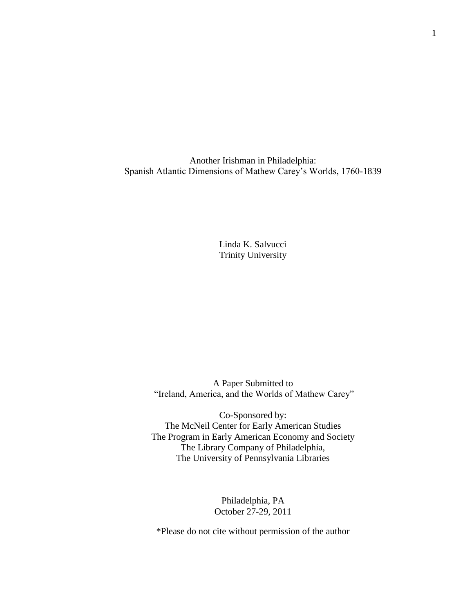Another Irishman in Philadelphia: Spanish Atlantic Dimensions of Mathew Carey"s Worlds, 1760-1839

> Linda K. Salvucci Trinity University

A Paper Submitted to "Ireland, America, and the Worlds of Mathew Carey"

Co-Sponsored by: The McNeil Center for Early American Studies The Program in Early American Economy and Society The Library Company of Philadelphia, The University of Pennsylvania Libraries

> Philadelphia, PA October 27-29, 2011

\*Please do not cite without permission of the author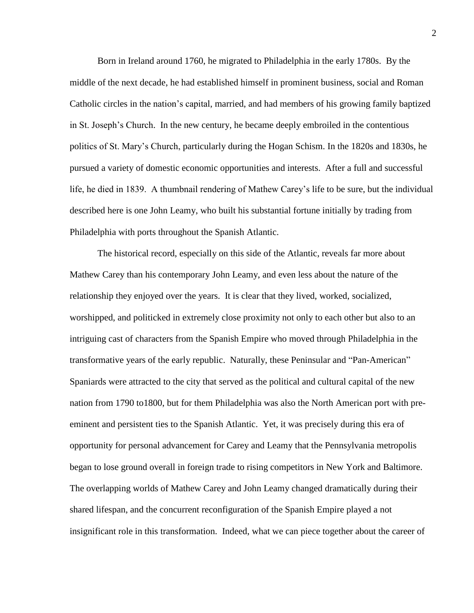Born in Ireland around 1760, he migrated to Philadelphia in the early 1780s. By the middle of the next decade, he had established himself in prominent business, social and Roman Catholic circles in the nation"s capital, married, and had members of his growing family baptized in St. Joseph"s Church. In the new century, he became deeply embroiled in the contentious politics of St. Mary"s Church, particularly during the Hogan Schism. In the 1820s and 1830s, he pursued a variety of domestic economic opportunities and interests. After a full and successful life, he died in 1839. A thumbnail rendering of Mathew Carey's life to be sure, but the individual described here is one John Leamy, who built his substantial fortune initially by trading from Philadelphia with ports throughout the Spanish Atlantic.

The historical record, especially on this side of the Atlantic, reveals far more about Mathew Carey than his contemporary John Leamy, and even less about the nature of the relationship they enjoyed over the years. It is clear that they lived, worked, socialized, worshipped, and politicked in extremely close proximity not only to each other but also to an intriguing cast of characters from the Spanish Empire who moved through Philadelphia in the transformative years of the early republic. Naturally, these Peninsular and "Pan-American" Spaniards were attracted to the city that served as the political and cultural capital of the new nation from 1790 to1800, but for them Philadelphia was also the North American port with preeminent and persistent ties to the Spanish Atlantic. Yet, it was precisely during this era of opportunity for personal advancement for Carey and Leamy that the Pennsylvania metropolis began to lose ground overall in foreign trade to rising competitors in New York and Baltimore. The overlapping worlds of Mathew Carey and John Leamy changed dramatically during their shared lifespan, and the concurrent reconfiguration of the Spanish Empire played a not insignificant role in this transformation. Indeed, what we can piece together about the career of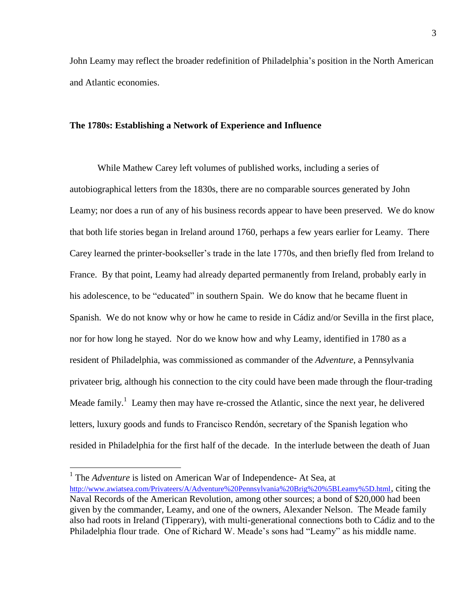John Leamy may reflect the broader redefinition of Philadelphia"s position in the North American and Atlantic economies.

# **The 1780s: Establishing a Network of Experience and Influence**

While Mathew Carey left volumes of published works, including a series of autobiographical letters from the 1830s, there are no comparable sources generated by John Leamy; nor does a run of any of his business records appear to have been preserved. We do know that both life stories began in Ireland around 1760, perhaps a few years earlier for Leamy. There Carey learned the printer-bookseller"s trade in the late 1770s, and then briefly fled from Ireland to France. By that point, Leamy had already departed permanently from Ireland, probably early in his adolescence, to be "educated" in southern Spain. We do know that he became fluent in Spanish. We do not know why or how he came to reside in Cádiz and/or Sevilla in the first place, nor for how long he stayed. Nor do we know how and why Leamy, identified in 1780 as a resident of Philadelphia, was commissioned as commander of the *Adventure*, a Pennsylvania privateer brig, although his connection to the city could have been made through the flour-trading Meade family.<sup>1</sup> Leamy then may have re-crossed the Atlantic, since the next year, he delivered letters, luxury goods and funds to Francisco Rendόn, secretary of the Spanish legation who resided in Philadelphia for the first half of the decade. In the interlude between the death of Juan

<sup>&</sup>lt;sup>1</sup> The *Adventure* is listed on American War of Independence- At Sea, at <http://www.awiatsea.com/Privateers/A/Adventure%20Pennsylvania%20Brig%20%5BLeamy%5D.html>, citing the Naval Records of the American Revolution, among other sources; a bond of \$20,000 had been given by the commander, Leamy, and one of the owners, Alexander Nelson. The Meade family also had roots in Ireland (Tipperary), with multi-generational connections both to Cádiz and to the Philadelphia flour trade. One of Richard W. Meade"s sons had "Leamy" as his middle name.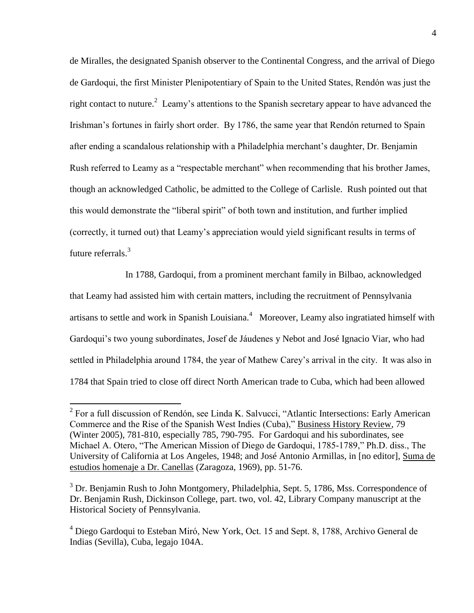de Miralles, the designated Spanish observer to the Continental Congress, and the arrival of Diego de Gardoqui, the first Minister Plenipotentiary of Spain to the United States, Rendόn was just the right contact to nuture.<sup>2</sup> Leamy's attentions to the Spanish secretary appear to have advanced the Irishman's fortunes in fairly short order. By 1786, the same year that Rendón returned to Spain after ending a scandalous relationship with a Philadelphia merchant"s daughter, Dr. Benjamin Rush referred to Leamy as a "respectable merchant" when recommending that his brother James, though an acknowledged Catholic, be admitted to the College of Carlisle. Rush pointed out that this would demonstrate the "liberal spirit" of both town and institution, and further implied (correctly, it turned out) that Leamy"s appreciation would yield significant results in terms of future referrals.<sup>3</sup>

In 1788, Gardoqui, from a prominent merchant family in Bilbao, acknowledged that Leamy had assisted him with certain matters, including the recruitment of Pennsylvania artisans to settle and work in Spanish Louisiana.<sup>4</sup> Moreover, Leamy also ingratiated himself with Gardoqui"s two young subordinates, Josef de Jáudenes y Nebot and José Ignacio Viar, who had settled in Philadelphia around 1784, the year of Mathew Carey's arrival in the city. It was also in 1784 that Spain tried to close off direct North American trade to Cuba, which had been allowed

 $2^2$  For a full discussion of Rendón, see Linda K. Salvucci, "Atlantic Intersections: Early American Commerce and the Rise of the Spanish West Indies (Cuba)," Business History Review, 79 (Winter 2005), 781-810, especially 785, 790-795. For Gardoqui and his subordinates, see Michael A. Otero, "The American Mission of Diego de Gardoqui, 1785-1789," Ph.D. diss., The University of California at Los Angeles, 1948; and José Antonio Armillas, in [no editor], Suma de estudios homenaje a Dr. Canellas (Zaragoza, 1969), pp. 51-76.

<sup>&</sup>lt;sup>3</sup> Dr. Benjamin Rush to John Montgomery, Philadelphia, Sept. 5, 1786, Mss. Correspondence of Dr. Benjamin Rush, Dickinson College, part. two, vol. 42, Library Company manuscript at the Historical Society of Pennsylvania.

<sup>&</sup>lt;sup>4</sup> Diego Gardoqui to Esteban Miró, New York, Oct. 15 and Sept. 8, 1788, Archivo General de Indias (Sevilla), Cuba, legajo 104A.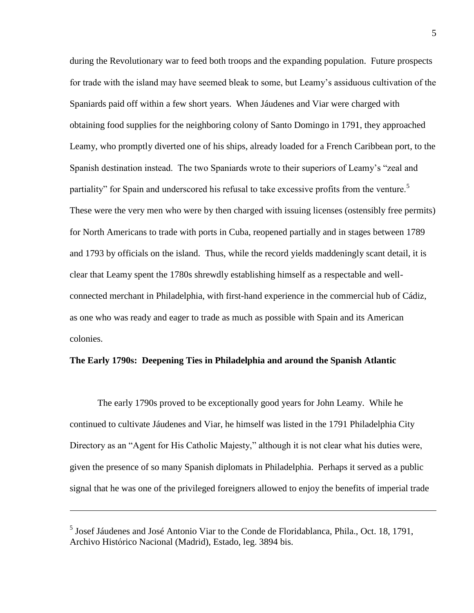during the Revolutionary war to feed both troops and the expanding population. Future prospects for trade with the island may have seemed bleak to some, but Leamy"s assiduous cultivation of the Spaniards paid off within a few short years. When Jáudenes and Viar were charged with obtaining food supplies for the neighboring colony of Santo Domingo in 1791, they approached Leamy, who promptly diverted one of his ships, already loaded for a French Caribbean port, to the Spanish destination instead. The two Spaniards wrote to their superiors of Leamy"s "zeal and partiality" for Spain and underscored his refusal to take excessive profits from the venture.<sup>5</sup> These were the very men who were by then charged with issuing licenses (ostensibly free permits) for North Americans to trade with ports in Cuba, reopened partially and in stages between 1789 and 1793 by officials on the island. Thus, while the record yields maddeningly scant detail, it is clear that Leamy spent the 1780s shrewdly establishing himself as a respectable and wellconnected merchant in Philadelphia, with first-hand experience in the commercial hub of Cádiz, as one who was ready and eager to trade as much as possible with Spain and its American colonies.

#### **The Early 1790s: Deepening Ties in Philadelphia and around the Spanish Atlantic**

The early 1790s proved to be exceptionally good years for John Leamy. While he continued to cultivate Jáudenes and Viar, he himself was listed in the 1791 Philadelphia City Directory as an "Agent for His Catholic Majesty," although it is not clear what his duties were, given the presence of so many Spanish diplomats in Philadelphia. Perhaps it served as a public signal that he was one of the privileged foreigners allowed to enjoy the benefits of imperial trade

<sup>&</sup>lt;sup>5</sup> Josef Jáudenes and José Antonio Viar to the Conde de Floridablanca, Phila., Oct. 18, 1791, Archivo Histόrico Nacional (Madrid), Estado, leg. 3894 bis.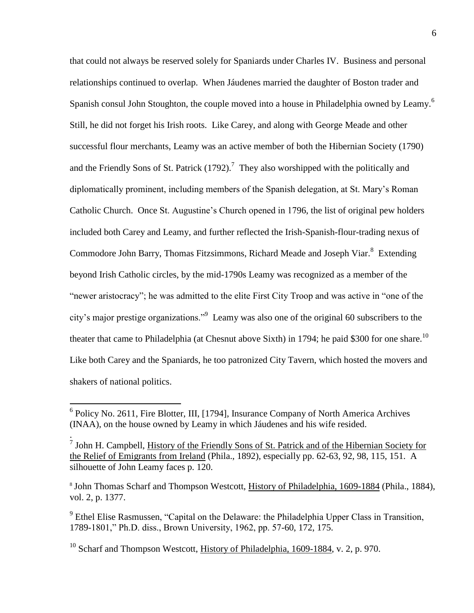that could not always be reserved solely for Spaniards under Charles IV. Business and personal relationships continued to overlap. When Jáudenes married the daughter of Boston trader and Spanish consul John Stoughton, the couple moved into a house in Philadelphia owned by Leamy.<sup>6</sup> Still, he did not forget his Irish roots. Like Carey, and along with George Meade and other successful flour merchants, Leamy was an active member of both the Hibernian Society (1790) and the Friendly Sons of St. Patrick  $(1792)$ .<sup>7</sup> They also worshipped with the politically and diplomatically prominent, including members of the Spanish delegation, at St. Mary"s Roman Catholic Church. Once St. Augustine"s Church opened in 1796, the list of original pew holders included both Carey and Leamy, and further reflected the Irish-Spanish-flour-trading nexus of Commodore John Barry, Thomas Fitzsimmons, Richard Meade and Joseph Viar.<sup>8</sup> Extending beyond Irish Catholic circles, by the mid-1790s Leamy was recognized as a member of the "newer aristocracy"; he was admitted to the elite First City Troop and was active in "one of the city's major prestige organizations."<sup>9</sup> Leamy was also one of the original 60 subscribers to the theater that came to Philadelphia (at Chesnut above Sixth) in 1794; he paid \$300 for one share.<sup>10</sup> Like both Carey and the Spaniards, he too patronized City Tavern, which hosted the movers and shakers of national politics.

<sup>&</sup>lt;sup>6</sup> Policy No. 2611, Fire Blotter, III, [1794], Insurance Company of North America Archives (INAA), on the house owned by Leamy in which Jáudenes and his wife resided.

<sup>.&</sup>lt;br><sup>7</sup> John H. Campbell, <u>History of the Friendly Sons of St. Patrick and of the Hibernian Society for</u> the Relief of Emigrants from Ireland (Phila., 1892), especially pp. 62-63, 92, 98, 115, 151. A silhouette of John Leamy faces p. 120.

<sup>&</sup>lt;sup>8</sup> John Thomas Scharf and Thompson Westcott, *History of Philadelphia*, 1609-1884 (Phila., 1884), vol. 2, p. 1377.

<sup>&</sup>lt;sup>9</sup> Ethel Elise Rasmussen, "Capital on the Delaware: the Philadelphia Upper Class in Transition, 1789-1801," Ph.D. diss., Brown University, 1962, pp. 57-60, 172, 175.

<sup>&</sup>lt;sup>10</sup> Scharf and Thompson Westcott, History of Philadelphia, 1609-1884, v. 2, p. 970.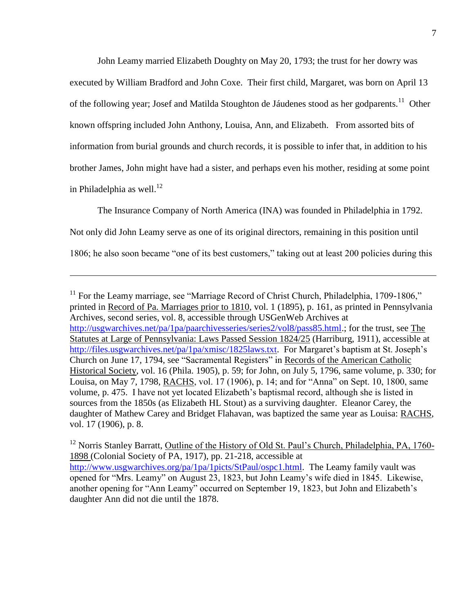John Leamy married Elizabeth Doughty on May 20, 1793; the trust for her dowry was executed by William Bradford and John Coxe. Their first child, Margaret, was born on April 13 of the following year; Josef and Matilda Stoughton de Jáudenes stood as her godparents.<sup>11</sup> Other known offspring included John Anthony, Louisa, Ann, and Elizabeth. From assorted bits of information from burial grounds and church records, it is possible to infer that, in addition to his brother James, John might have had a sister, and perhaps even his mother, residing at some point in Philadelphia as well. $^{12}$ 

The Insurance Company of North America (INA) was founded in Philadelphia in 1792.

Not only did John Leamy serve as one of its original directors, remaining in this position until

 $\overline{a}$ 

1806; he also soon became "one of its best customers," taking out at least 200 policies during this

<sup>12</sup> Norris Stanley Barratt, Outline of the History of Old St. Paul's Church, Philadelphia, PA, 1760-1898 (Colonial Society of PA, 1917), pp. 21-218, accessible at [http://www.usgwarchives.org/pa/1pa/1picts/StPaul/ospc1.html.](http://www.usgwarchives.org/pa/1pa/1picts/StPaul/ospc1.html) The Leamy family vault was opened for "Mrs. Leamy" on August 23, 1823, but John Leamy"s wife died in 1845. Likewise, another opening for "Ann Leamy" occurred on September 19, 1823, but John and Elizabeth"s daughter Ann did not die until the 1878.

 $11$  For the Leamy marriage, see "Marriage Record of Christ Church, Philadelphia, 1709-1806," printed in Record of Pa. Marriages prior to 1810, vol. 1 (1895), p. 161, as printed in Pennsylvania Archives, second series, vol. 8, accessible through USGenWeb Archives at [http://usgwarchives.net/pa/1pa/paarchivesseries/series2/vol8/pass85.html.](http://usgwarchives.net/pa/1pa/paarchivesseries/series2/vol8/pass85.html); for the trust, see The Statutes at Large of Pennsylvania: Laws Passed Session 1824/25 (Harriburg, 1911), accessible at [http://files.usgwarchives.net/pa/1pa/xmisc/1825laws.txt.](http://files.usgwarchives.net/pa/1pa/xmisc/1825laws.txt) For Margaret's baptism at St. Joseph's Church on June 17, 1794, see "Sacramental Registers" in Records of the American Catholic Historical Society, vol. 16 (Phila. 1905), p. 59; for John, on July 5, 1796, same volume, p. 330; for Louisa, on May 7, 1798, RACHS, vol. 17 (1906), p. 14; and for "Anna" on Sept. 10, 1800, same volume, p. 475. I have not yet located Elizabeth"s baptismal record, although she is listed in sources from the 1850s (as Elizabeth HL Stout) as a surviving daughter. Eleanor Carey, the daughter of Mathew Carey and Bridget Flahavan, was baptized the same year as Louisa: RACHS, vol. 17 (1906), p. 8.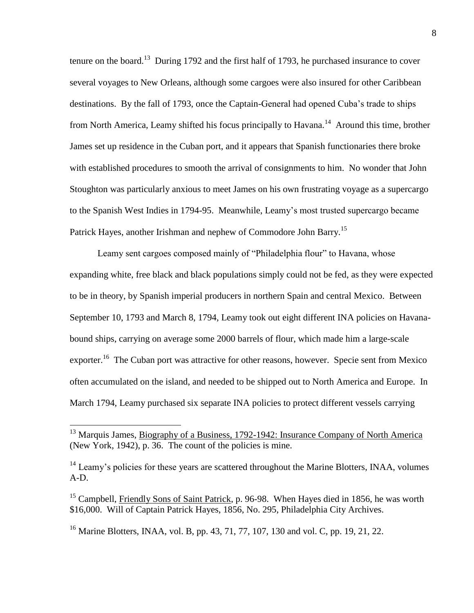tenure on the board.<sup>13</sup> During 1792 and the first half of 1793, he purchased insurance to cover several voyages to New Orleans, although some cargoes were also insured for other Caribbean destinations. By the fall of 1793, once the Captain-General had opened Cuba"s trade to ships from North America, Leamy shifted his focus principally to Havana.<sup>14</sup> Around this time, brother James set up residence in the Cuban port, and it appears that Spanish functionaries there broke with established procedures to smooth the arrival of consignments to him. No wonder that John Stoughton was particularly anxious to meet James on his own frustrating voyage as a supercargo to the Spanish West Indies in 1794-95. Meanwhile, Leamy"s most trusted supercargo became Patrick Hayes, another Irishman and nephew of Commodore John Barry.<sup>15</sup>

Leamy sent cargoes composed mainly of "Philadelphia flour" to Havana, whose expanding white, free black and black populations simply could not be fed, as they were expected to be in theory, by Spanish imperial producers in northern Spain and central Mexico. Between September 10, 1793 and March 8, 1794, Leamy took out eight different INA policies on Havanabound ships, carrying on average some 2000 barrels of flour, which made him a large-scale exporter.<sup>16</sup> The Cuban port was attractive for other reasons, however. Specie sent from Mexico often accumulated on the island, and needed to be shipped out to North America and Europe. In March 1794, Leamy purchased six separate INA policies to protect different vessels carrying

<sup>&</sup>lt;sup>13</sup> Marquis James, Biography of a Business, 1792-1942: Insurance Company of North America (New York, 1942), p. 36. The count of the policies is mine.

<sup>&</sup>lt;sup>14</sup> Leamy's policies for these years are scattered throughout the Marine Blotters, INAA, volumes A-D.

<sup>&</sup>lt;sup>15</sup> Campbell, Friendly Sons of Saint Patrick, p. 96-98. When Hayes died in 1856, he was worth \$16,000. Will of Captain Patrick Hayes, 1856, No. 295, Philadelphia City Archives.

<sup>&</sup>lt;sup>16</sup> Marine Blotters, INAA, vol. B, pp. 43, 71, 77, 107, 130 and vol. C, pp. 19, 21, 22.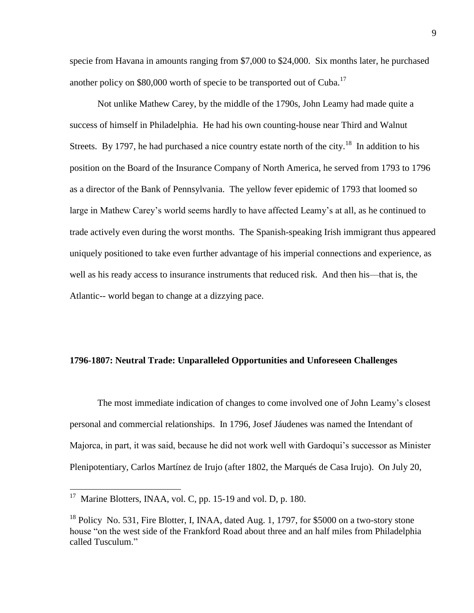specie from Havana in amounts ranging from \$7,000 to \$24,000. Six months later, he purchased another policy on \$80,000 worth of specie to be transported out of Cuba.<sup>17</sup>

Not unlike Mathew Carey, by the middle of the 1790s, John Leamy had made quite a success of himself in Philadelphia. He had his own counting-house near Third and Walnut Streets. By 1797, he had purchased a nice country estate north of the city.<sup>18</sup> In addition to his position on the Board of the Insurance Company of North America, he served from 1793 to 1796 as a director of the Bank of Pennsylvania. The yellow fever epidemic of 1793 that loomed so large in Mathew Carey"s world seems hardly to have affected Leamy"s at all, as he continued to trade actively even during the worst months. The Spanish-speaking Irish immigrant thus appeared uniquely positioned to take even further advantage of his imperial connections and experience, as well as his ready access to insurance instruments that reduced risk. And then his—that is, the Atlantic-- world began to change at a dizzying pace.

# **1796-1807: Neutral Trade: Unparalleled Opportunities and Unforeseen Challenges**

The most immediate indication of changes to come involved one of John Leamy"s closest personal and commercial relationships. In 1796, Josef Jáudenes was named the Intendant of Majorca, in part, it was said, because he did not work well with Gardoqui's successor as Minister Plenipotentiary, Carlos Martínez de Irujo (after 1802, the Marqués de Casa Irujo). On July 20,

 $17$  Marine Blotters, INAA, vol. C, pp. 15-19 and vol. D, p. 180.

 $^{18}$  Policy No. 531, Fire Blotter, I, INAA, dated Aug. 1, 1797, for \$5000 on a two-story stone house "on the west side of the Frankford Road about three and an half miles from Philadelphia called Tusculum."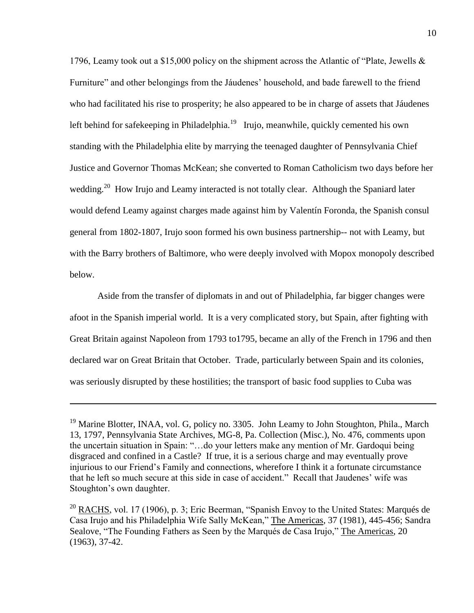1796, Leamy took out a \$15,000 policy on the shipment across the Atlantic of "Plate, Jewells  $\&$ Furniture" and other belongings from the Jáudenes' household, and bade farewell to the friend who had facilitated his rise to prosperity; he also appeared to be in charge of assets that Jáudenes left behind for safekeeping in Philadelphia.<sup>19</sup> Irujo, meanwhile, quickly cemented his own standing with the Philadelphia elite by marrying the teenaged daughter of Pennsylvania Chief Justice and Governor Thomas McKean; she converted to Roman Catholicism two days before her wedding.<sup>20</sup> How Irujo and Leamy interacted is not totally clear. Although the Spaniard later would defend Leamy against charges made against him by Valentín Foronda, the Spanish consul general from 1802-1807, Irujo soon formed his own business partnership-- not with Leamy, but with the Barry brothers of Baltimore, who were deeply involved with Mopox monopoly described below.

Aside from the transfer of diplomats in and out of Philadelphia, far bigger changes were afoot in the Spanish imperial world. It is a very complicated story, but Spain, after fighting with Great Britain against Napoleon from 1793 to1795, became an ally of the French in 1796 and then declared war on Great Britain that October. Trade, particularly between Spain and its colonies, was seriously disrupted by these hostilities; the transport of basic food supplies to Cuba was

<sup>&</sup>lt;sup>19</sup> Marine Blotter, INAA, vol. G, policy no. 3305. John Leamy to John Stoughton, Phila., March 13, 1797, Pennsylvania State Archives, MG-8, Pa. Collection (Misc.), No. 476, comments upon the uncertain situation in Spain: "…do your letters make any mention of Mr. Gardoqui being disgraced and confined in a Castle? If true, it is a serious charge and may eventually prove injurious to our Friend"s Family and connections, wherefore I think it a fortunate circumstance that he left so much secure at this side in case of accident." Recall that Jaudenes' wife was Stoughton"s own daughter.

 $20$  RACHS, vol. 17 (1906), p. 3; Eric Beerman, "Spanish Envoy to the United States: Marqués de Casa Irujo and his Philadelphia Wife Sally McKean," The Americas, 37 (1981), 445-456; Sandra Sealove, "The Founding Fathers as Seen by the Marqués de Casa Irujo," The Americas, 20 (1963), 37-42.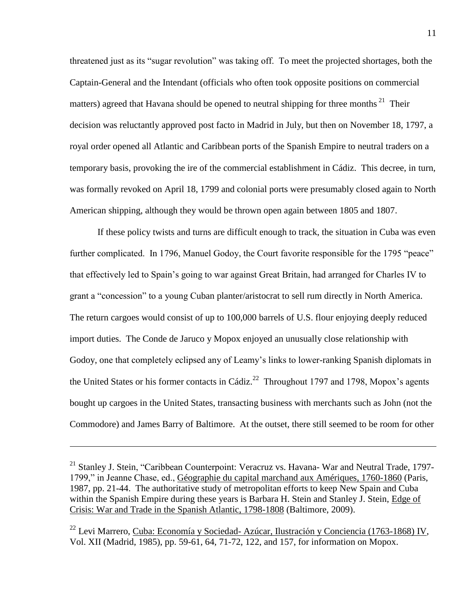threatened just as its "sugar revolution" was taking off. To meet the projected shortages, both the Captain-General and the Intendant (officials who often took opposite positions on commercial matters) agreed that Havana should be opened to neutral shipping for three months  $21$  Their decision was reluctantly approved post facto in Madrid in July, but then on November 18, 1797, a royal order opened all Atlantic and Caribbean ports of the Spanish Empire to neutral traders on a temporary basis, provoking the ire of the commercial establishment in Cádiz. This decree, in turn, was formally revoked on April 18, 1799 and colonial ports were presumably closed again to North American shipping, although they would be thrown open again between 1805 and 1807.

If these policy twists and turns are difficult enough to track, the situation in Cuba was even further complicated. In 1796, Manuel Godoy, the Court favorite responsible for the 1795 "peace" that effectively led to Spain"s going to war against Great Britain, had arranged for Charles IV to grant a "concession" to a young Cuban planter/aristocrat to sell rum directly in North America. The return cargoes would consist of up to 100,000 barrels of U.S. flour enjoying deeply reduced import duties. The Conde de Jaruco y Mopox enjoyed an unusually close relationship with Godoy, one that completely eclipsed any of Leamy"s links to lower-ranking Spanish diplomats in the United States or his former contacts in Cádiz.<sup>22</sup> Throughout 1797 and 1798, Mopox's agents bought up cargoes in the United States, transacting business with merchants such as John (not the Commodore) and James Barry of Baltimore. At the outset, there still seemed to be room for other

<sup>&</sup>lt;sup>21</sup> Stanley J. Stein, "Caribbean Counterpoint: Veracruz vs. Havana- War and Neutral Trade, 1797-1799," in Jeanne Chase, ed., Géographie du capital marchand aux Amériques, 1760-1860 (Paris, 1987, pp. 21-44. The authoritative study of metropolitan efforts to keep New Spain and Cuba within the Spanish Empire during these years is Barbara H. Stein and Stanley J. Stein, Edge of Crisis: War and Trade in the Spanish Atlantic, 1798-1808 (Baltimore, 2009).

<sup>&</sup>lt;sup>22</sup> Levi Marrero, Cuba: Economía y Sociedad-Azúcar, Ilustración y Conciencia (1763-1868) IV, Vol. XII (Madrid, 1985), pp. 59-61, 64, 71-72, 122, and 157, for information on Mopox.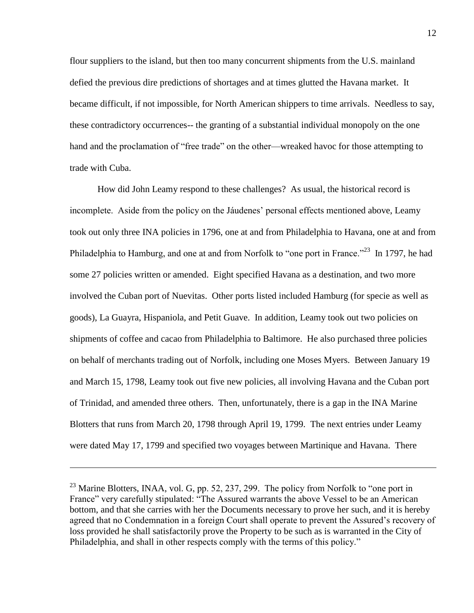flour suppliers to the island, but then too many concurrent shipments from the U.S. mainland defied the previous dire predictions of shortages and at times glutted the Havana market. It became difficult, if not impossible, for North American shippers to time arrivals. Needless to say, these contradictory occurrences-- the granting of a substantial individual monopoly on the one hand and the proclamation of "free trade" on the other—wreaked havoc for those attempting to trade with Cuba.

How did John Leamy respond to these challenges? As usual, the historical record is incomplete. Aside from the policy on the Jáudenes' personal effects mentioned above, Leamy took out only three INA policies in 1796, one at and from Philadelphia to Havana, one at and from Philadelphia to Hamburg, and one at and from Norfolk to "one port in France."<sup>23</sup> In 1797, he had some 27 policies written or amended. Eight specified Havana as a destination, and two more involved the Cuban port of Nuevitas. Other ports listed included Hamburg (for specie as well as goods), La Guayra, Hispaniola, and Petit Guave. In addition, Leamy took out two policies on shipments of coffee and cacao from Philadelphia to Baltimore. He also purchased three policies on behalf of merchants trading out of Norfolk, including one Moses Myers. Between January 19 and March 15, 1798, Leamy took out five new policies, all involving Havana and the Cuban port of Trinidad, and amended three others. Then, unfortunately, there is a gap in the INA Marine Blotters that runs from March 20, 1798 through April 19, 1799. The next entries under Leamy were dated May 17, 1799 and specified two voyages between Martinique and Havana. There

<sup>&</sup>lt;sup>23</sup> Marine Blotters, INAA, vol. G, pp. 52, 237, 299. The policy from Norfolk to "one port in France" very carefully stipulated: "The Assured warrants the above Vessel to be an American bottom, and that she carries with her the Documents necessary to prove her such, and it is hereby agreed that no Condemnation in a foreign Court shall operate to prevent the Assured's recovery of loss provided he shall satisfactorily prove the Property to be such as is warranted in the City of Philadelphia, and shall in other respects comply with the terms of this policy."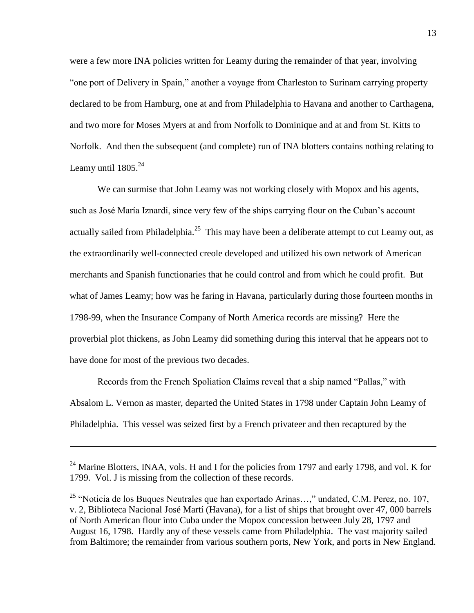were a few more INA policies written for Leamy during the remainder of that year, involving "one port of Delivery in Spain," another a voyage from Charleston to Surinam carrying property declared to be from Hamburg, one at and from Philadelphia to Havana and another to Carthagena, and two more for Moses Myers at and from Norfolk to Dominique and at and from St. Kitts to Norfolk. And then the subsequent (and complete) run of INA blotters contains nothing relating to Leamy until  $1805.<sup>24</sup>$ 

We can surmise that John Leamy was not working closely with Mopox and his agents, such as José María Iznardi, since very few of the ships carrying flour on the Cuban"s account actually sailed from Philadelphia.<sup>25</sup> This may have been a deliberate attempt to cut Leamy out, as the extraordinarily well-connected creole developed and utilized his own network of American merchants and Spanish functionaries that he could control and from which he could profit. But what of James Leamy; how was he faring in Havana, particularly during those fourteen months in 1798-99, when the Insurance Company of North America records are missing? Here the proverbial plot thickens, as John Leamy did something during this interval that he appears not to have done for most of the previous two decades.

Records from the French Spoliation Claims reveal that a ship named "Pallas," with Absalom L. Vernon as master, departed the United States in 1798 under Captain John Leamy of Philadelphia. This vessel was seized first by a French privateer and then recaptured by the

<sup>&</sup>lt;sup>24</sup> Marine Blotters, INAA, vols. H and I for the policies from 1797 and early 1798, and vol. K for 1799. Vol. J is missing from the collection of these records.

<sup>&</sup>lt;sup>25</sup> "Noticia de los Buques Neutrales que han exportado Arinas...," undated, C.M. Perez, no. 107, v. 2, Biblioteca Nacional José Martí (Havana), for a list of ships that brought over 47, 000 barrels of North American flour into Cuba under the Mopox concession between July 28, 1797 and August 16, 1798. Hardly any of these vessels came from Philadelphia. The vast majority sailed from Baltimore; the remainder from various southern ports, New York, and ports in New England.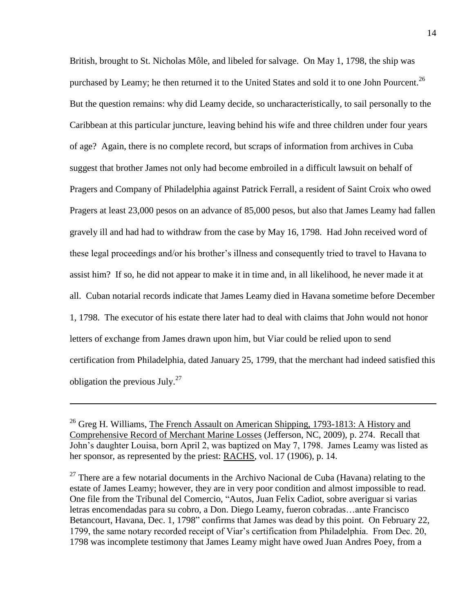British, brought to St. Nicholas Môle, and libeled for salvage. On May 1, 1798, the ship was purchased by Leamy; he then returned it to the United States and sold it to one John Pourcent.<sup>26</sup> But the question remains: why did Leamy decide, so uncharacteristically, to sail personally to the Caribbean at this particular juncture, leaving behind his wife and three children under four years of age? Again, there is no complete record, but scraps of information from archives in Cuba suggest that brother James not only had become embroiled in a difficult lawsuit on behalf of Pragers and Company of Philadelphia against Patrick Ferrall, a resident of Saint Croix who owed Pragers at least 23,000 pesos on an advance of 85,000 pesos, but also that James Leamy had fallen gravely ill and had had to withdraw from the case by May 16, 1798. Had John received word of these legal proceedings and/or his brother"s illness and consequently tried to travel to Havana to assist him? If so, he did not appear to make it in time and, in all likelihood, he never made it at all. Cuban notarial records indicate that James Leamy died in Havana sometime before December 1, 1798. The executor of his estate there later had to deal with claims that John would not honor letters of exchange from James drawn upon him, but Viar could be relied upon to send certification from Philadelphia, dated January 25, 1799, that the merchant had indeed satisfied this obligation the previous July.<sup>27</sup>

 $26$  Greg H. Williams, The French Assault on American Shipping, 1793-1813: A History and Comprehensive Record of Merchant Marine Losses (Jefferson, NC, 2009), p. 274. Recall that John"s daughter Louisa, born April 2, was baptized on May 7, 1798. James Leamy was listed as her sponsor, as represented by the priest: RACHS, vol. 17 (1906), p. 14.

 $27$  There are a few notarial documents in the Archivo Nacional de Cuba (Havana) relating to the estate of James Leamy; however, they are in very poor condition and almost impossible to read. One file from the Tribunal del Comercio, "Autos, Juan Felix Cadiot, sobre averiguar si varias letras encomendadas para su cobro, a Don. Diego Leamy, fueron cobradas…ante Francisco Betancourt, Havana, Dec. 1, 1798" confirms that James was dead by this point. On February 22, 1799, the same notary recorded receipt of Viar"s certification from Philadelphia. From Dec. 20, 1798 was incomplete testimony that James Leamy might have owed Juan Andres Poey, from a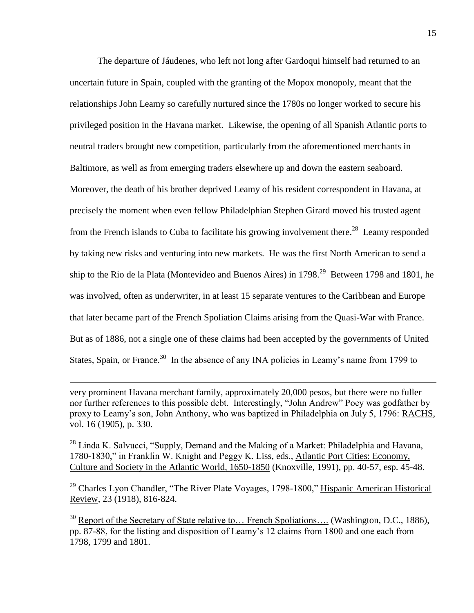The departure of Jáudenes, who left not long after Gardoqui himself had returned to an uncertain future in Spain, coupled with the granting of the Mopox monopoly, meant that the relationships John Leamy so carefully nurtured since the 1780s no longer worked to secure his privileged position in the Havana market. Likewise, the opening of all Spanish Atlantic ports to neutral traders brought new competition, particularly from the aforementioned merchants in Baltimore, as well as from emerging traders elsewhere up and down the eastern seaboard. Moreover, the death of his brother deprived Leamy of his resident correspondent in Havana, at precisely the moment when even fellow Philadelphian Stephen Girard moved his trusted agent from the French islands to Cuba to facilitate his growing involvement there.<sup>28</sup> Leamy responded by taking new risks and venturing into new markets. He was the first North American to send a ship to the Rio de la Plata (Montevideo and Buenos Aires) in 1798.<sup>29</sup> Between 1798 and 1801, he was involved, often as underwriter, in at least 15 separate ventures to the Caribbean and Europe that later became part of the French Spoliation Claims arising from the Quasi-War with France. But as of 1886, not a single one of these claims had been accepted by the governments of United States, Spain, or France.<sup>30</sup> In the absence of any INA policies in Leamy's name from 1799 to

very prominent Havana merchant family, approximately 20,000 pesos, but there were no fuller nor further references to this possible debt. Interestingly, "John Andrew" Poey was godfather by proxy to Leamy"s son, John Anthony, who was baptized in Philadelphia on July 5, 1796: RACHS, vol. 16 (1905), p. 330.

 $\overline{a}$ 

<sup>28</sup> Linda K. Salvucci, "Supply, Demand and the Making of a Market: Philadelphia and Havana, 1780-1830," in Franklin W. Knight and Peggy K. Liss, eds., Atlantic Port Cities: Economy, Culture and Society in the Atlantic World, 1650-1850 (Knoxville, 1991), pp. 40-57, esp. 45-48.

<sup>29</sup> Charles Lyon Chandler, "The River Plate Voyages, 1798-1800," Hispanic American Historical Review, 23 (1918), 816-824.

<sup>30</sup> Report of the Secretary of State relative to... French Spoliations.... (Washington, D.C., 1886), pp. 87-88, for the listing and disposition of Leamy"s 12 claims from 1800 and one each from 1798, 1799 and 1801.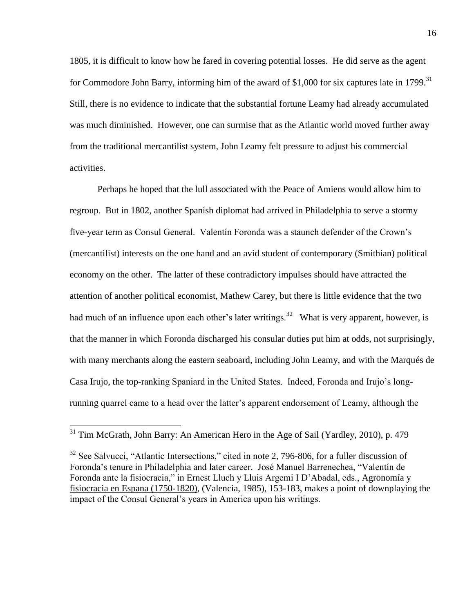1805, it is difficult to know how he fared in covering potential losses. He did serve as the agent for Commodore John Barry, informing him of the award of \$1,000 for six captures late in 1799.<sup>31</sup> Still, there is no evidence to indicate that the substantial fortune Leamy had already accumulated was much diminished. However, one can surmise that as the Atlantic world moved further away from the traditional mercantilist system, John Leamy felt pressure to adjust his commercial activities.

Perhaps he hoped that the lull associated with the Peace of Amiens would allow him to regroup. But in 1802, another Spanish diplomat had arrived in Philadelphia to serve a stormy five-year term as Consul General. Valentín Foronda was a staunch defender of the Crown"s (mercantilist) interests on the one hand and an avid student of contemporary (Smithian) political economy on the other. The latter of these contradictory impulses should have attracted the attention of another political economist, Mathew Carey, but there is little evidence that the two had much of an influence upon each other's later writings.<sup>32</sup> What is very apparent, however, is that the manner in which Foronda discharged his consular duties put him at odds, not surprisingly, with many merchants along the eastern seaboard, including John Leamy, and with the Marqués de Casa Irujo, the top-ranking Spaniard in the United States. Indeed, Foronda and Irujo"s longrunning quarrel came to a head over the latter's apparent endorsement of Leamy, although the

<sup>&</sup>lt;sup>31</sup> Tim McGrath, John Barry: An American Hero in the Age of Sail (Yardley, 2010), p. 479

 $32$  See Salvucci, "Atlantic Intersections," cited in note 2, 796-806, for a fuller discussion of Foronda"s tenure in Philadelphia and later career. José Manuel Barrenechea, "Valentín de Foronda ante la fisiocracia," in Ernest Lluch y Lluis Argemi I D"Abadal, eds., Agronomía y fisiocracia en Espana (1750-1820), (Valencia, 1985), 153-183, makes a point of downplaying the impact of the Consul General"s years in America upon his writings.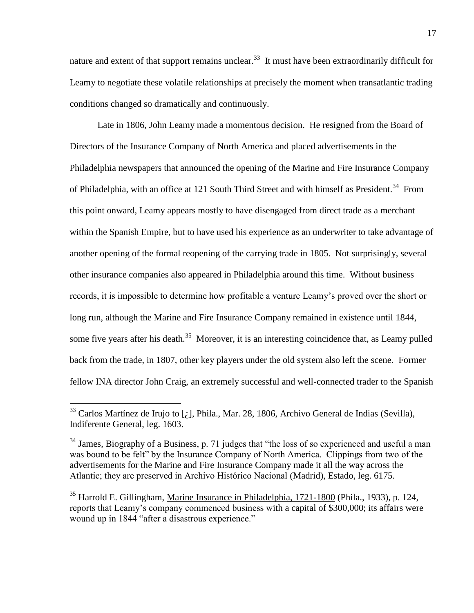nature and extent of that support remains unclear.<sup>33</sup> It must have been extraordinarily difficult for Leamy to negotiate these volatile relationships at precisely the moment when transatlantic trading conditions changed so dramatically and continuously.

Late in 1806, John Leamy made a momentous decision. He resigned from the Board of Directors of the Insurance Company of North America and placed advertisements in the Philadelphia newspapers that announced the opening of the Marine and Fire Insurance Company of Philadelphia, with an office at 121 South Third Street and with himself as President.<sup>34</sup> From this point onward, Leamy appears mostly to have disengaged from direct trade as a merchant within the Spanish Empire, but to have used his experience as an underwriter to take advantage of another opening of the formal reopening of the carrying trade in 1805. Not surprisingly, several other insurance companies also appeared in Philadelphia around this time. Without business records, it is impossible to determine how profitable a venture Leamy"s proved over the short or long run, although the Marine and Fire Insurance Company remained in existence until 1844, some five years after his death.<sup>35</sup> Moreover, it is an interesting coincidence that, as Leamy pulled back from the trade, in 1807, other key players under the old system also left the scene. Former fellow INA director John Craig, an extremely successful and well-connected trader to the Spanish

 $33$  Carlos Martínez de Irujo to [ $\lambda$ ], Phila., Mar. 28, 1806, Archivo General de Indias (Sevilla), Indiferente General, leg. 1603.

 $34$  James, Biography of a Business, p. 71 judges that "the loss of so experienced and useful a man was bound to be felt" by the Insurance Company of North America. Clippings from two of the advertisements for the Marine and Fire Insurance Company made it all the way across the Atlantic; they are preserved in Archivo Histόrico Nacional (Madrid), Estado, leg. 6175.

 $35$  Harrold E. Gillingham, Marine Insurance in Philadelphia, 1721-1800 (Phila., 1933), p. 124, reports that Leamy"s company commenced business with a capital of \$300,000; its affairs were wound up in 1844 "after a disastrous experience."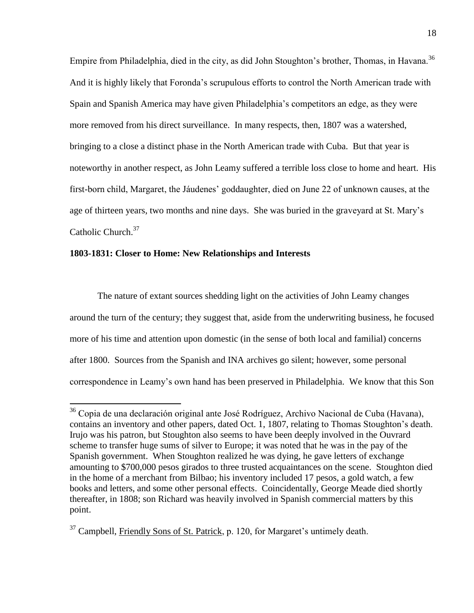Empire from Philadelphia, died in the city, as did John Stoughton's brother, Thomas, in Havana.<sup>36</sup> And it is highly likely that Foronda"s scrupulous efforts to control the North American trade with Spain and Spanish America may have given Philadelphia"s competitors an edge, as they were more removed from his direct surveillance. In many respects, then, 1807 was a watershed, bringing to a close a distinct phase in the North American trade with Cuba. But that year is noteworthy in another respect, as John Leamy suffered a terrible loss close to home and heart. His first-born child, Margaret, the Jáudenes" goddaughter, died on June 22 of unknown causes, at the age of thirteen years, two months and nine days. She was buried in the graveyard at St. Mary"s Catholic Church.<sup>37</sup>

# **1803-1831: Closer to Home: New Relationships and Interests**

 $\overline{a}$ 

The nature of extant sources shedding light on the activities of John Leamy changes around the turn of the century; they suggest that, aside from the underwriting business, he focused more of his time and attention upon domestic (in the sense of both local and familial) concerns after 1800. Sources from the Spanish and INA archives go silent; however, some personal correspondence in Leamy"s own hand has been preserved in Philadelphia. We know that this Son

<sup>&</sup>lt;sup>36</sup> Copia de una declaración original ante José Rodríguez, Archivo Nacional de Cuba (Havana), contains an inventory and other papers, dated Oct. 1, 1807, relating to Thomas Stoughton"s death. Irujo was his patron, but Stoughton also seems to have been deeply involved in the Ouvrard scheme to transfer huge sums of silver to Europe; it was noted that he was in the pay of the Spanish government. When Stoughton realized he was dying, he gave letters of exchange amounting to \$700,000 pesos girados to three trusted acquaintances on the scene. Stoughton died in the home of a merchant from Bilbao; his inventory included 17 pesos, a gold watch, a few books and letters, and some other personal effects. Coincidentally, George Meade died shortly thereafter, in 1808; son Richard was heavily involved in Spanish commercial matters by this point.

 $37$  Campbell, Friendly Sons of St. Patrick, p. 120, for Margaret's untimely death.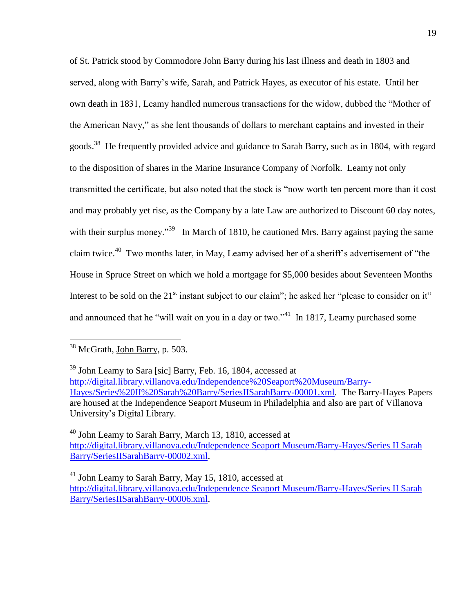of St. Patrick stood by Commodore John Barry during his last illness and death in 1803 and served, along with Barry"s wife, Sarah, and Patrick Hayes, as executor of his estate. Until her own death in 1831, Leamy handled numerous transactions for the widow, dubbed the "Mother of the American Navy," as she lent thousands of dollars to merchant captains and invested in their goods.<sup>38</sup> He frequently provided advice and guidance to Sarah Barry, such as in 1804, with regard to the disposition of shares in the Marine Insurance Company of Norfolk. Leamy not only transmitted the certificate, but also noted that the stock is "now worth ten percent more than it cost and may probably yet rise, as the Company by a late Law are authorized to Discount 60 day notes, with their surplus money.<sup>39</sup> In March of 1810, he cautioned Mrs. Barry against paying the same claim twice.<sup>40</sup> Two months later, in May, Leamy advised her of a sheriff's advertisement of "the House in Spruce Street on which we hold a mortgage for \$5,000 besides about Seventeen Months Interest to be sold on the  $21<sup>st</sup>$  instant subject to our claim"; he asked her "please to consider on it" and announced that he "will wait on you in a day or two."<sup> $41$ </sup> In 1817, Leamy purchased some

<sup>&</sup>lt;sup>38</sup> McGrath, John Barry, p. 503.

 $39$  John Leamy to Sara [sic] Barry, Feb. 16, 1804, accessed at [http://digital.library.villanova.edu/Independence%20Seaport%20Museum/Barry-](http://digital.library.villanova.edu/Independence%20Seaport%20Museum/Barry-Hayes/Series%20II%20Sarah%20Barry/SeriesIISarahBarry-00001.xml)[Hayes/Series%20II%20Sarah%20Barry/SeriesIISarahBarry-00001.xml.](http://digital.library.villanova.edu/Independence%20Seaport%20Museum/Barry-Hayes/Series%20II%20Sarah%20Barry/SeriesIISarahBarry-00001.xml) The Barry-Hayes Papers are housed at the Independence Seaport Museum in Philadelphia and also are part of Villanova University"s Digital Library.

 $^{40}$  John Leamy to Sarah Barry, March 13, 1810, accessed at [http://digital.library.villanova.edu/Independence Seaport Museum/Barry-Hayes/Series II Sarah](http://digital.library.villanova.edu/Independence%20Seaport%20Museum/Barry-Hayes/Series%20II%20Sarah%20Barry/SeriesIISarahBarry-00002.xml)  [Barry/SeriesIISarahBarry-00002.xml.](http://digital.library.villanova.edu/Independence%20Seaport%20Museum/Barry-Hayes/Series%20II%20Sarah%20Barry/SeriesIISarahBarry-00002.xml)

 $41$  John Leamy to Sarah Barry, May 15, 1810, accessed at [http://digital.library.villanova.edu/Independence Seaport Museum/Barry-Hayes/Series II Sarah](http://digital.library.villanova.edu/Independence%20Seaport%20Museum/Barry-Hayes/Series%20II%20Sarah%20Barry/SeriesIISarahBarry-00006.xml)  [Barry/SeriesIISarahBarry-00006.xml.](http://digital.library.villanova.edu/Independence%20Seaport%20Museum/Barry-Hayes/Series%20II%20Sarah%20Barry/SeriesIISarahBarry-00006.xml)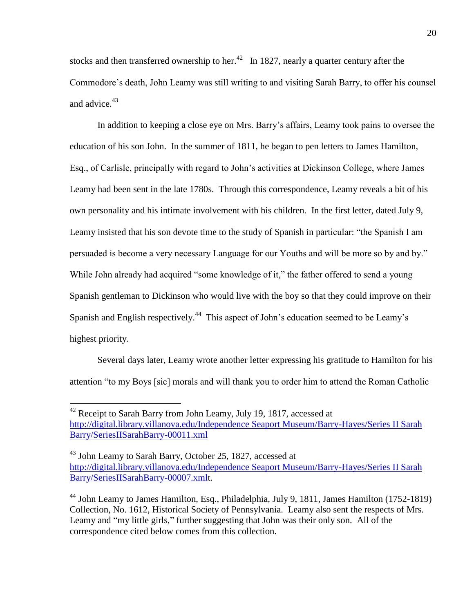stocks and then transferred ownership to her.<sup>42</sup> In 1827, nearly a quarter century after the Commodore"s death, John Leamy was still writing to and visiting Sarah Barry, to offer his counsel and advice.<sup>43</sup>

In addition to keeping a close eye on Mrs. Barry"s affairs, Leamy took pains to oversee the education of his son John. In the summer of 1811, he began to pen letters to James Hamilton, Esq., of Carlisle, principally with regard to John"s activities at Dickinson College, where James Leamy had been sent in the late 1780s. Through this correspondence, Leamy reveals a bit of his own personality and his intimate involvement with his children. In the first letter, dated July 9, Leamy insisted that his son devote time to the study of Spanish in particular: "the Spanish I am persuaded is become a very necessary Language for our Youths and will be more so by and by." While John already had acquired "some knowledge of it," the father offered to send a young Spanish gentleman to Dickinson who would live with the boy so that they could improve on their Spanish and English respectively.<sup>44</sup> This aspect of John's education seemed to be Leamy's highest priority.

Several days later, Leamy wrote another letter expressing his gratitude to Hamilton for his attention "to my Boys [sic] morals and will thank you to order him to attend the Roman Catholic

<sup>&</sup>lt;sup>42</sup> Receipt to Sarah Barry from John Leamy, July 19, 1817, accessed at [http://digital.library.villanova.edu/Independence Seaport Museum/Barry-Hayes/Series II Sarah](http://digital.library.villanova.edu/Independence%20Seaport%20Museum/Barry-Hayes/Series%20II%20Sarah%20Barry/SeriesIISarahBarry-00011.xml)  [Barry/SeriesIISarahBarry-00011.xml](http://digital.library.villanova.edu/Independence%20Seaport%20Museum/Barry-Hayes/Series%20II%20Sarah%20Barry/SeriesIISarahBarry-00011.xml)

 $43$  John Leamy to Sarah Barry, October 25, 1827, accessed at [http://digital.library.villanova.edu/Independence Seaport Museum/Barry-Hayes/Series II Sarah](http://digital.library.villanova.edu/Independence%20Seaport%20Museum/Barry-Hayes/Series%20II%20Sarah%20Barry/SeriesIISarahBarry-00007.xml)  [Barry/SeriesIISarahBarry-00007.xmlt](http://digital.library.villanova.edu/Independence%20Seaport%20Museum/Barry-Hayes/Series%20II%20Sarah%20Barry/SeriesIISarahBarry-00007.xml).

<sup>&</sup>lt;sup>44</sup> John Leamy to James Hamilton, Esq., Philadelphia, July 9, 1811, James Hamilton (1752-1819) Collection, No. 1612, Historical Society of Pennsylvania. Leamy also sent the respects of Mrs. Leamy and "my little girls," further suggesting that John was their only son. All of the correspondence cited below comes from this collection.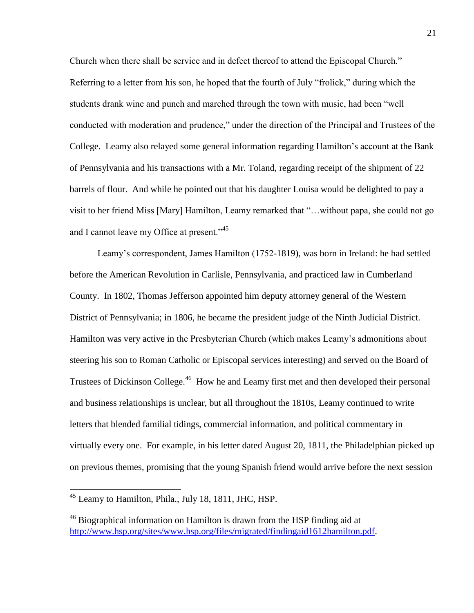Church when there shall be service and in defect thereof to attend the Episcopal Church." Referring to a letter from his son, he hoped that the fourth of July "frolick," during which the students drank wine and punch and marched through the town with music, had been "well conducted with moderation and prudence," under the direction of the Principal and Trustees of the College. Leamy also relayed some general information regarding Hamilton"s account at the Bank of Pennsylvania and his transactions with a Mr. Toland, regarding receipt of the shipment of 22 barrels of flour. And while he pointed out that his daughter Louisa would be delighted to pay a visit to her friend Miss [Mary] Hamilton, Leamy remarked that "…without papa, she could not go and I cannot leave my Office at present."<sup>45</sup>

Leamy"s correspondent, James Hamilton (1752-1819), was born in Ireland: he had settled before the American Revolution in Carlisle, Pennsylvania, and practiced law in Cumberland County. In 1802, Thomas Jefferson appointed him deputy attorney general of the Western District of Pennsylvania; in 1806, he became the president judge of the Ninth Judicial District. Hamilton was very active in the Presbyterian Church (which makes Leamy"s admonitions about steering his son to Roman Catholic or Episcopal services interesting) and served on the Board of Trustees of Dickinson College.<sup>46</sup> How he and Leamy first met and then developed their personal and business relationships is unclear, but all throughout the 1810s, Leamy continued to write letters that blended familial tidings, commercial information, and political commentary in virtually every one. For example, in his letter dated August 20, 1811, the Philadelphian picked up on previous themes, promising that the young Spanish friend would arrive before the next session

<sup>45</sup> Leamy to Hamilton, Phila., July 18, 1811, JHC, HSP.

<sup>&</sup>lt;sup>46</sup> Biographical information on Hamilton is drawn from the HSP finding aid at [http://www.hsp.org/sites/www.hsp.org/files/migrated/findingaid1612hamilton.pdf.](http://www.hsp.org/sites/www.hsp.org/files/migrated/findingaid1612hamilton.pdf)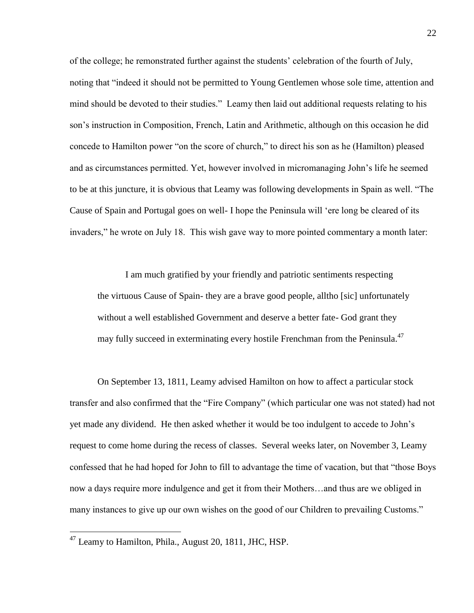of the college; he remonstrated further against the students" celebration of the fourth of July, noting that "indeed it should not be permitted to Young Gentlemen whose sole time, attention and mind should be devoted to their studies." Leamy then laid out additional requests relating to his son"s instruction in Composition, French, Latin and Arithmetic, although on this occasion he did concede to Hamilton power "on the score of church," to direct his son as he (Hamilton) pleased and as circumstances permitted. Yet, however involved in micromanaging John"s life he seemed to be at this juncture, it is obvious that Leamy was following developments in Spain as well. "The Cause of Spain and Portugal goes on well- I hope the Peninsula will "ere long be cleared of its invaders," he wrote on July 18. This wish gave way to more pointed commentary a month later:

I am much gratified by your friendly and patriotic sentiments respecting the virtuous Cause of Spain- they are a brave good people, alltho [sic] unfortunately without a well established Government and deserve a better fate- God grant they may fully succeed in exterminating every hostile Frenchman from the Peninsula.<sup>47</sup>

On September 13, 1811, Leamy advised Hamilton on how to affect a particular stock transfer and also confirmed that the "Fire Company" (which particular one was not stated) had not yet made any dividend. He then asked whether it would be too indulgent to accede to John"s request to come home during the recess of classes. Several weeks later, on November 3, Leamy confessed that he had hoped for John to fill to advantage the time of vacation, but that "those Boys now a days require more indulgence and get it from their Mothers…and thus are we obliged in many instances to give up our own wishes on the good of our Children to prevailing Customs."

 $47$  Leamy to Hamilton, Phila., August 20, 1811, JHC, HSP.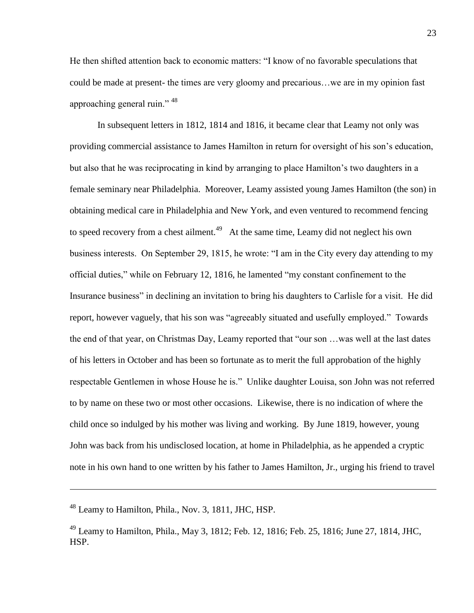He then shifted attention back to economic matters: "I know of no favorable speculations that could be made at present- the times are very gloomy and precarious…we are in my opinion fast approaching general ruin." <sup>48</sup>

In subsequent letters in 1812, 1814 and 1816, it became clear that Leamy not only was providing commercial assistance to James Hamilton in return for oversight of his son"s education, but also that he was reciprocating in kind by arranging to place Hamilton"s two daughters in a female seminary near Philadelphia. Moreover, Leamy assisted young James Hamilton (the son) in obtaining medical care in Philadelphia and New York, and even ventured to recommend fencing to speed recovery from a chest ailment.<sup>49</sup> At the same time, Leamy did not neglect his own business interests. On September 29, 1815, he wrote: "I am in the City every day attending to my official duties," while on February 12, 1816, he lamented "my constant confinement to the Insurance business" in declining an invitation to bring his daughters to Carlisle for a visit. He did report, however vaguely, that his son was "agreeably situated and usefully employed." Towards the end of that year, on Christmas Day, Leamy reported that "our son …was well at the last dates of his letters in October and has been so fortunate as to merit the full approbation of the highly respectable Gentlemen in whose House he is." Unlike daughter Louisa, son John was not referred to by name on these two or most other occasions. Likewise, there is no indication of where the child once so indulged by his mother was living and working. By June 1819, however, young John was back from his undisclosed location, at home in Philadelphia, as he appended a cryptic note in his own hand to one written by his father to James Hamilton, Jr., urging his friend to travel

<sup>48</sup> Leamy to Hamilton, Phila., Nov. 3, 1811, JHC, HSP.

 $^{49}$  Leamy to Hamilton, Phila., May 3, 1812; Feb. 12, 1816; Feb. 25, 1816; June 27, 1814, JHC, HSP.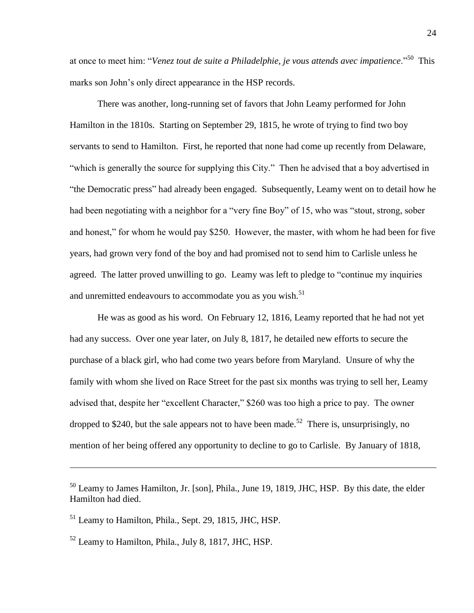at once to meet him: "*Venez tout de suite a Philadelphie, je vous attends avec impatience*."<sup>50</sup> This marks son John"s only direct appearance in the HSP records.

There was another, long-running set of favors that John Leamy performed for John Hamilton in the 1810s. Starting on September 29, 1815, he wrote of trying to find two boy servants to send to Hamilton. First, he reported that none had come up recently from Delaware, "which is generally the source for supplying this City." Then he advised that a boy advertised in "the Democratic press" had already been engaged. Subsequently, Leamy went on to detail how he had been negotiating with a neighbor for a "very fine Boy" of 15, who was "stout, strong, sober and honest," for whom he would pay \$250. However, the master, with whom he had been for five years, had grown very fond of the boy and had promised not to send him to Carlisle unless he agreed. The latter proved unwilling to go. Leamy was left to pledge to "continue my inquiries and unremitted endeavours to accommodate you as you wish.<sup>51</sup>

He was as good as his word. On February 12, 1816, Leamy reported that he had not yet had any success. Over one year later, on July 8, 1817, he detailed new efforts to secure the purchase of a black girl, who had come two years before from Maryland. Unsure of why the family with whom she lived on Race Street for the past six months was trying to sell her, Leamy advised that, despite her "excellent Character," \$260 was too high a price to pay. The owner dropped to \$240, but the sale appears not to have been made.<sup>52</sup> There is, unsurprisingly, no mention of her being offered any opportunity to decline to go to Carlisle. By January of 1818,

<sup>&</sup>lt;sup>50</sup> Leamy to James Hamilton, Jr. [son], Phila., June 19, 1819, JHC, HSP. By this date, the elder Hamilton had died.

<sup>51</sup> Leamy to Hamilton, Phila., Sept. 29, 1815, JHC, HSP.

<sup>52</sup> Leamy to Hamilton, Phila., July 8, 1817, JHC, HSP.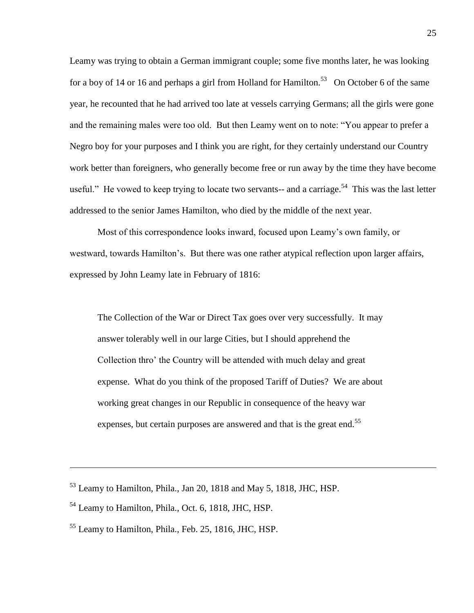Leamy was trying to obtain a German immigrant couple; some five months later, he was looking for a boy of 14 or 16 and perhaps a girl from Holland for Hamilton.<sup>53</sup> On October 6 of the same year, he recounted that he had arrived too late at vessels carrying Germans; all the girls were gone and the remaining males were too old. But then Leamy went on to note: "You appear to prefer a Negro boy for your purposes and I think you are right, for they certainly understand our Country work better than foreigners, who generally become free or run away by the time they have become useful." He vowed to keep trying to locate two servants-- and a carriage.<sup>54</sup> This was the last letter addressed to the senior James Hamilton, who died by the middle of the next year.

Most of this correspondence looks inward, focused upon Leamy"s own family, or westward, towards Hamilton's. But there was one rather atypical reflection upon larger affairs, expressed by John Leamy late in February of 1816:

The Collection of the War or Direct Tax goes over very successfully. It may answer tolerably well in our large Cities, but I should apprehend the Collection thro" the Country will be attended with much delay and great expense. What do you think of the proposed Tariff of Duties? We are about working great changes in our Republic in consequence of the heavy war expenses, but certain purposes are answered and that is the great end.<sup>55</sup>

<sup>53</sup> Leamy to Hamilton, Phila., Jan 20, 1818 and May 5, 1818, JHC, HSP.

<sup>&</sup>lt;sup>54</sup> Leamy to Hamilton, Phila., Oct. 6, 1818, JHC, HSP.

<sup>55</sup> Leamy to Hamilton, Phila., Feb. 25, 1816, JHC, HSP.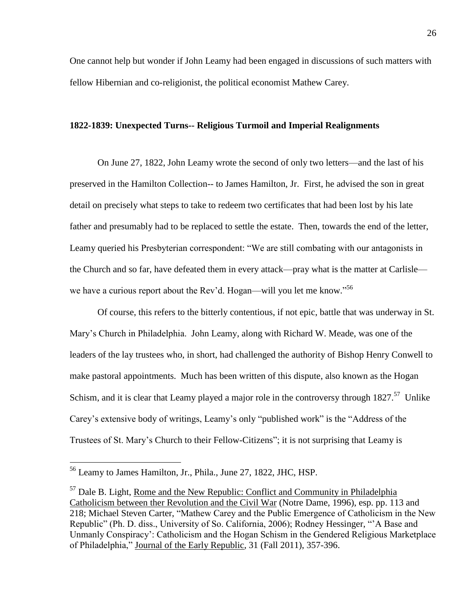One cannot help but wonder if John Leamy had been engaged in discussions of such matters with fellow Hibernian and co-religionist, the political economist Mathew Carey.

# **1822-1839: Unexpected Turns-- Religious Turmoil and Imperial Realignments**

On June 27, 1822, John Leamy wrote the second of only two letters—and the last of his preserved in the Hamilton Collection-- to James Hamilton, Jr. First, he advised the son in great detail on precisely what steps to take to redeem two certificates that had been lost by his late father and presumably had to be replaced to settle the estate. Then, towards the end of the letter, Leamy queried his Presbyterian correspondent: "We are still combating with our antagonists in the Church and so far, have defeated them in every attack—pray what is the matter at Carlisle we have a curious report about the Rev'd. Hogan—will you let me know."<sup>56</sup>

Of course, this refers to the bitterly contentious, if not epic, battle that was underway in St. Mary"s Church in Philadelphia. John Leamy, along with Richard W. Meade, was one of the leaders of the lay trustees who, in short, had challenged the authority of Bishop Henry Conwell to make pastoral appointments. Much has been written of this dispute, also known as the Hogan Schism, and it is clear that Leamy played a major role in the controversy through  $1827$ .<sup>57</sup> Unlike Carey"s extensive body of writings, Leamy"s only "published work" is the "Address of the Trustees of St. Mary"s Church to their Fellow-Citizens"; it is not surprising that Leamy is

<sup>56</sup> Leamy to James Hamilton, Jr., Phila., June 27, 1822, JHC, HSP.

<sup>&</sup>lt;sup>57</sup> Dale B. Light, Rome and the New Republic: Conflict and Community in Philadelphia Catholicism between ther Revolution and the Civil War (Notre Dame, 1996), esp. pp. 113 and 218; Michael Steven Carter, "Mathew Carey and the Public Emergence of Catholicism in the New Republic" (Ph. D. diss., University of So. California, 2006); Rodney Hessinger, ""A Base and Unmanly Conspiracy": Catholicism and the Hogan Schism in the Gendered Religious Marketplace of Philadelphia," Journal of the Early Republic, 31 (Fall 2011), 357-396.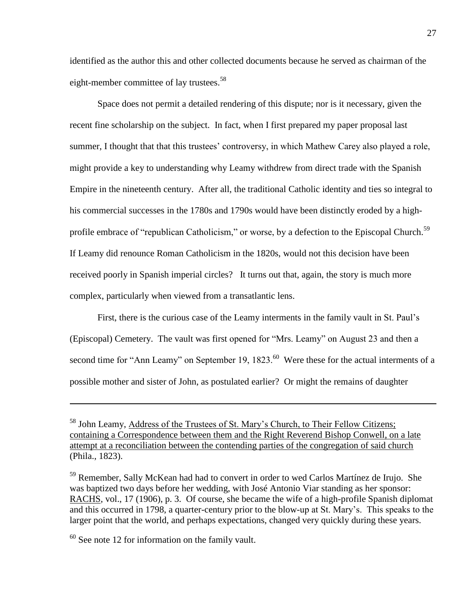identified as the author this and other collected documents because he served as chairman of the eight-member committee of lay trustees.<sup>58</sup>

Space does not permit a detailed rendering of this dispute; nor is it necessary, given the recent fine scholarship on the subject. In fact, when I first prepared my paper proposal last summer, I thought that that this trustees' controversy, in which Mathew Carey also played a role, might provide a key to understanding why Leamy withdrew from direct trade with the Spanish Empire in the nineteenth century. After all, the traditional Catholic identity and ties so integral to his commercial successes in the 1780s and 1790s would have been distinctly eroded by a highprofile embrace of "republican Catholicism," or worse, by a defection to the Episcopal Church.<sup>59</sup> If Leamy did renounce Roman Catholicism in the 1820s, would not this decision have been received poorly in Spanish imperial circles? It turns out that, again, the story is much more complex, particularly when viewed from a transatlantic lens.

First, there is the curious case of the Leamy interments in the family vault in St. Paul"s (Episcopal) Cemetery. The vault was first opened for "Mrs. Leamy" on August 23 and then a second time for "Ann Leamy" on September 19, 1823.<sup>60</sup> Were these for the actual interments of a possible mother and sister of John, as postulated earlier? Or might the remains of daughter

<sup>&</sup>lt;sup>58</sup> John Leamy, Address of the Trustees of St. Mary's Church, to Their Fellow Citizens; containing a Correspondence between them and the Right Reverend Bishop Conwell, on a late attempt at a reconciliation between the contending parties of the congregation of said church (Phila., 1823).

<sup>&</sup>lt;sup>59</sup> Remember, Sally McKean had had to convert in order to wed Carlos Martínez de Irujo. She was baptized two days before her wedding, with José Antonio Viar standing as her sponsor: RACHS, vol., 17 (1906), p. 3. Of course, she became the wife of a high-profile Spanish diplomat and this occurred in 1798, a quarter-century prior to the blow-up at St. Mary"s. This speaks to the larger point that the world, and perhaps expectations, changed very quickly during these years.

 $60$  See note 12 for information on the family vault.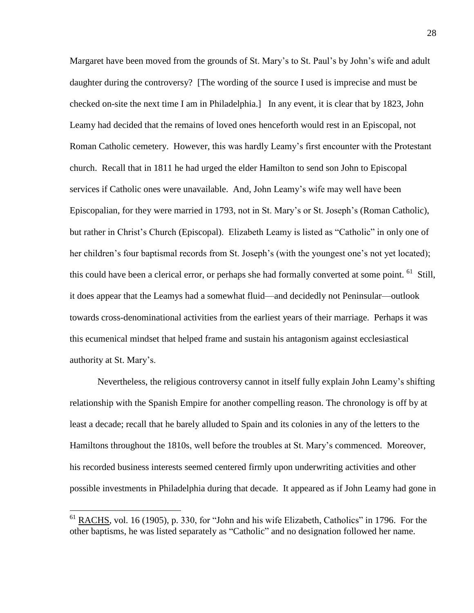Margaret have been moved from the grounds of St. Mary"s to St. Paul"s by John"s wife and adult daughter during the controversy? [The wording of the source I used is imprecise and must be checked on-site the next time I am in Philadelphia.] In any event, it is clear that by 1823, John Leamy had decided that the remains of loved ones henceforth would rest in an Episcopal, not Roman Catholic cemetery. However, this was hardly Leamy"s first encounter with the Protestant church. Recall that in 1811 he had urged the elder Hamilton to send son John to Episcopal services if Catholic ones were unavailable. And, John Leamy"s wife may well have been Episcopalian, for they were married in 1793, not in St. Mary"s or St. Joseph"s (Roman Catholic), but rather in Christ"s Church (Episcopal). Elizabeth Leamy is listed as "Catholic" in only one of her children's four baptismal records from St. Joseph's (with the youngest one's not yet located); this could have been a clerical error, or perhaps she had formally converted at some point. <sup>61</sup> Still, it does appear that the Leamys had a somewhat fluid—and decidedly not Peninsular—outlook towards cross-denominational activities from the earliest years of their marriage. Perhaps it was this ecumenical mindset that helped frame and sustain his antagonism against ecclesiastical authority at St. Mary"s.

Nevertheless, the religious controversy cannot in itself fully explain John Leamy"s shifting relationship with the Spanish Empire for another compelling reason. The chronology is off by at least a decade; recall that he barely alluded to Spain and its colonies in any of the letters to the Hamiltons throughout the 1810s, well before the troubles at St. Mary"s commenced. Moreover, his recorded business interests seemed centered firmly upon underwriting activities and other possible investments in Philadelphia during that decade. It appeared as if John Leamy had gone in

<sup>&</sup>lt;sup>61</sup> RACHS, vol. 16 (1905), p. 330, for "John and his wife Elizabeth, Catholics" in 1796. For the other baptisms, he was listed separately as "Catholic" and no designation followed her name.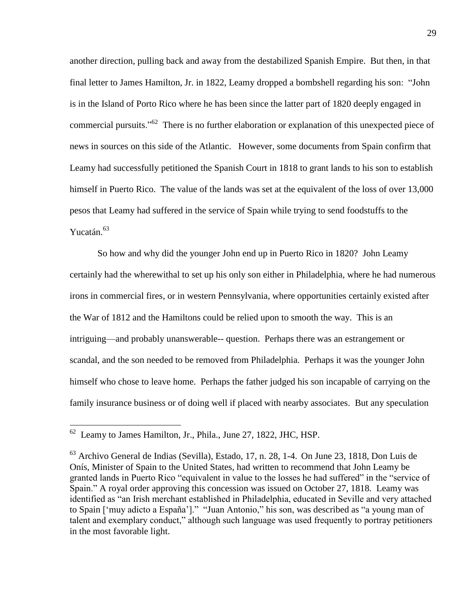another direction, pulling back and away from the destabilized Spanish Empire. But then, in that final letter to James Hamilton, Jr. in 1822, Leamy dropped a bombshell regarding his son: "John is in the Island of Porto Rico where he has been since the latter part of 1820 deeply engaged in commercial pursuits."<sup>62</sup> There is no further elaboration or explanation of this unexpected piece of news in sources on this side of the Atlantic. However, some documents from Spain confirm that Leamy had successfully petitioned the Spanish Court in 1818 to grant lands to his son to establish himself in Puerto Rico. The value of the lands was set at the equivalent of the loss of over 13,000 pesos that Leamy had suffered in the service of Spain while trying to send foodstuffs to the Yucatán.<sup>63</sup>

So how and why did the younger John end up in Puerto Rico in 1820? John Leamy certainly had the wherewithal to set up his only son either in Philadelphia, where he had numerous irons in commercial fires, or in western Pennsylvania, where opportunities certainly existed after the War of 1812 and the Hamiltons could be relied upon to smooth the way. This is an intriguing—and probably unanswerable-- question. Perhaps there was an estrangement or scandal, and the son needed to be removed from Philadelphia. Perhaps it was the younger John himself who chose to leave home. Perhaps the father judged his son incapable of carrying on the family insurance business or of doing well if placed with nearby associates. But any speculation

 $62$  Leamy to James Hamilton, Jr., Phila., June 27, 1822, JHC, HSP.

 $^{63}$  Archivo General de Indias (Sevilla), Estado, 17, n. 28, 1-4. On June 23, 1818, Don Luis de Onís, Minister of Spain to the United States, had written to recommend that John Leamy be granted lands in Puerto Rico "equivalent in value to the losses he had suffered" in the "service of Spain." A royal order approving this concession was issued on October 27, 1818. Leamy was identified as "an Irish merchant established in Philadelphia, educated in Seville and very attached to Spain ["muy adicto a España"]." "Juan Antonio," his son, was described as "a young man of talent and exemplary conduct," although such language was used frequently to portray petitioners in the most favorable light.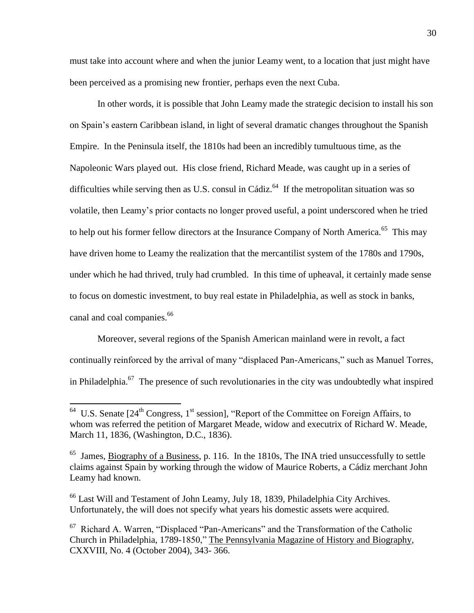must take into account where and when the junior Leamy went, to a location that just might have been perceived as a promising new frontier, perhaps even the next Cuba.

In other words, it is possible that John Leamy made the strategic decision to install his son on Spain"s eastern Caribbean island, in light of several dramatic changes throughout the Spanish Empire. In the Peninsula itself, the 1810s had been an incredibly tumultuous time, as the Napoleonic Wars played out. His close friend, Richard Meade, was caught up in a series of difficulties while serving then as U.S. consul in Cádiz.<sup>64</sup> If the metropolitan situation was so volatile, then Leamy"s prior contacts no longer proved useful, a point underscored when he tried to help out his former fellow directors at the Insurance Company of North America.<sup>65</sup> This may have driven home to Leamy the realization that the mercantilist system of the 1780s and 1790s, under which he had thrived, truly had crumbled. In this time of upheaval, it certainly made sense to focus on domestic investment, to buy real estate in Philadelphia, as well as stock in banks, canal and coal companies.<sup>66</sup>

Moreover, several regions of the Spanish American mainland were in revolt, a fact continually reinforced by the arrival of many "displaced Pan-Americans," such as Manuel Torres, in Philadelphia.<sup>67</sup> The presence of such revolutionaries in the city was undoubtedly what inspired

 $64$  U.S. Senate [24<sup>th</sup> Congress, 1<sup>st</sup> session], "Report of the Committee on Foreign Affairs, to whom was referred the petition of Margaret Meade, widow and executrix of Richard W. Meade, March 11, 1836, (Washington, D.C., 1836).

 $<sup>65</sup>$  James, Biography of a Business, p. 116. In the 1810s, The INA tried unsuccessfully to settle</sup> claims against Spain by working through the widow of Maurice Roberts, a Cádiz merchant John Leamy had known.

<sup>66</sup> Last Will and Testament of John Leamy, July 18, 1839, Philadelphia City Archives. Unfortunately, the will does not specify what years his domestic assets were acquired.

<sup>67</sup> Richard A. Warren, "Displaced "Pan-Americans" and the Transformation of the Catholic Church in Philadelphia, 1789-1850," The Pennsylvania Magazine of History and Biography, CXXVIII, No. 4 (October 2004), 343- 366.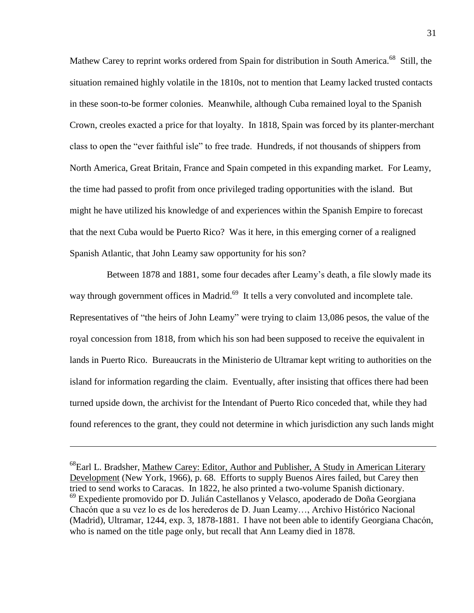Mathew Carey to reprint works ordered from Spain for distribution in South America.<sup>68</sup> Still, the situation remained highly volatile in the 1810s, not to mention that Leamy lacked trusted contacts in these soon-to-be former colonies. Meanwhile, although Cuba remained loyal to the Spanish Crown, creoles exacted a price for that loyalty. In 1818, Spain was forced by its planter-merchant class to open the "ever faithful isle" to free trade. Hundreds, if not thousands of shippers from North America, Great Britain, France and Spain competed in this expanding market. For Leamy, the time had passed to profit from once privileged trading opportunities with the island. But might he have utilized his knowledge of and experiences within the Spanish Empire to forecast that the next Cuba would be Puerto Rico? Was it here, in this emerging corner of a realigned Spanish Atlantic, that John Leamy saw opportunity for his son?

 Between 1878 and 1881, some four decades after Leamy"s death, a file slowly made its way through government offices in Madrid.<sup>69</sup> It tells a very convoluted and incomplete tale. Representatives of "the heirs of John Leamy" were trying to claim 13,086 pesos, the value of the royal concession from 1818, from which his son had been supposed to receive the equivalent in lands in Puerto Rico. Bureaucrats in the Ministerio de Ultramar kept writing to authorities on the island for information regarding the claim. Eventually, after insisting that offices there had been turned upside down, the archivist for the Intendant of Puerto Rico conceded that, while they had found references to the grant, they could not determine in which jurisdiction any such lands might

<sup>&</sup>lt;sup>68</sup>Earl L. Bradsher, Mathew Carey: Editor, Author and Publisher, A Study in American Literary Development (New York, 1966), p. 68. Efforts to supply Buenos Aires failed, but Carey then tried to send works to Caracas. In 1822, he also printed a two-volume Spanish dictionary. <sup>69</sup> Expediente promovido por D. Julián Castellanos y Velasco, apoderado de Doña Georgiana Chacόn que a su vez lo es de los herederos de D. Juan Leamy…, Archivo Histόrico Nacional (Madrid), Ultramar, 1244, exp. 3, 1878-1881. I have not been able to identify Georgiana Chacόn, who is named on the title page only, but recall that Ann Leamy died in 1878.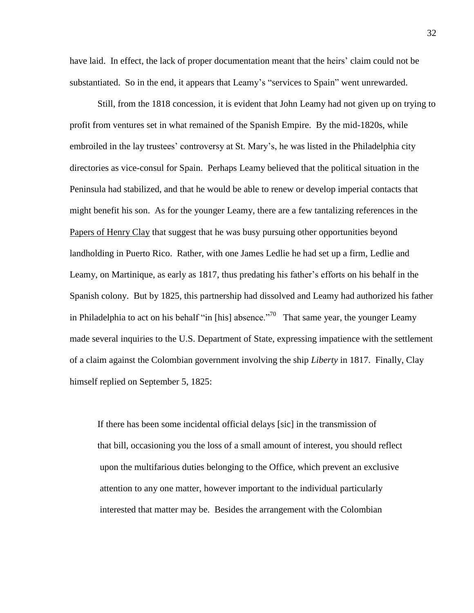have laid. In effect, the lack of proper documentation meant that the heirs' claim could not be substantiated. So in the end, it appears that Leamy's "services to Spain" went unrewarded.

Still, from the 1818 concession, it is evident that John Leamy had not given up on trying to profit from ventures set in what remained of the Spanish Empire. By the mid-1820s, while embroiled in the lay trustees" controversy at St. Mary"s, he was listed in the Philadelphia city directories as vice-consul for Spain. Perhaps Leamy believed that the political situation in the Peninsula had stabilized, and that he would be able to renew or develop imperial contacts that might benefit his son. As for the younger Leamy, there are a few tantalizing references in the Papers of Henry Clay that suggest that he was busy pursuing other opportunities beyond landholding in Puerto Rico. Rather, with one James Ledlie he had set up a firm, Ledlie and Leamy, on Martinique, as early as 1817, thus predating his father's efforts on his behalf in the Spanish colony. But by 1825, this partnership had dissolved and Leamy had authorized his father in Philadelphia to act on his behalf "in [his] absence."<sup>70</sup> That same year, the younger Leamy made several inquiries to the U.S. Department of State, expressing impatience with the settlement of a claim against the Colombian government involving the ship *Liberty* in 1817. Finally, Clay himself replied on September 5, 1825:

If there has been some incidental official delays [sic] in the transmission of that bill, occasioning you the loss of a small amount of interest, you should reflect upon the multifarious duties belonging to the Office, which prevent an exclusive attention to any one matter, however important to the individual particularly interested that matter may be. Besides the arrangement with the Colombian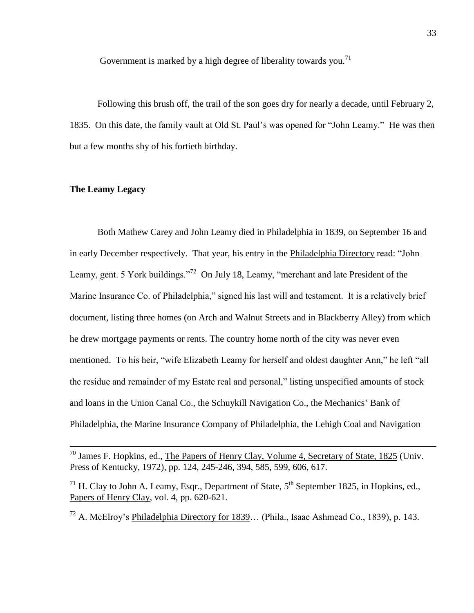Government is marked by a high degree of liberality towards you.<sup>71</sup>

Following this brush off, the trail of the son goes dry for nearly a decade, until February 2, 1835. On this date, the family vault at Old St. Paul"s was opened for "John Leamy." He was then but a few months shy of his fortieth birthday.

# **The Leamy Legacy**

 $\overline{a}$ 

Both Mathew Carey and John Leamy died in Philadelphia in 1839, on September 16 and in early December respectively. That year, his entry in the Philadelphia Directory read: "John Leamy, gent. 5 York buildings."<sup>72</sup> On July 18, Leamy, "merchant and late President of the Marine Insurance Co. of Philadelphia," signed his last will and testament. It is a relatively brief document, listing three homes (on Arch and Walnut Streets and in Blackberry Alley) from which he drew mortgage payments or rents. The country home north of the city was never even mentioned. To his heir, "wife Elizabeth Leamy for herself and oldest daughter Ann," he left "all the residue and remainder of my Estate real and personal," listing unspecified amounts of stock and loans in the Union Canal Co., the Schuykill Navigation Co., the Mechanics" Bank of Philadelphia, the Marine Insurance Company of Philadelphia, the Lehigh Coal and Navigation

 $^{72}$  A. McElroy's Philadelphia Directory for 1839... (Phila., Isaac Ashmead Co., 1839), p. 143.

<sup>&</sup>lt;sup>70</sup> James F. Hopkins, ed., The Papers of Henry Clay, Volume 4, Secretary of State, 1825 (Univ. Press of Kentucky, 1972), pp. 124, 245-246, 394, 585, 599, 606, 617.

<sup>&</sup>lt;sup>71</sup> H. Clay to John A. Leamy, Esqr., Department of State,  $5<sup>th</sup>$  September 1825, in Hopkins, ed., Papers of Henry Clay, vol. 4, pp. 620-621.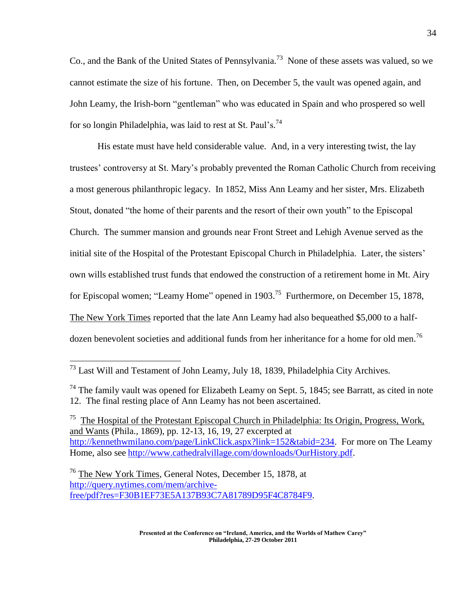Co., and the Bank of the United States of Pennsylvania.<sup>73</sup> None of these assets was valued, so we cannot estimate the size of his fortune. Then, on December 5, the vault was opened again, and John Leamy, the Irish-born "gentleman" who was educated in Spain and who prospered so well for so longin Philadelphia, was laid to rest at St. Paul's.<sup>74</sup>

His estate must have held considerable value. And, in a very interesting twist, the lay trustees" controversy at St. Mary"s probably prevented the Roman Catholic Church from receiving a most generous philanthropic legacy. In 1852, Miss Ann Leamy and her sister, Mrs. Elizabeth Stout, donated "the home of their parents and the resort of their own youth" to the Episcopal Church. The summer mansion and grounds near Front Street and Lehigh Avenue served as the initial site of the Hospital of the Protestant Episcopal Church in Philadelphia. Later, the sisters' own wills established trust funds that endowed the construction of a retirement home in Mt. Airy for Episcopal women; "Leamy Home" opened in 1903.<sup>75</sup> Furthermore, on December 15, 1878, The New York Times reported that the late Ann Leamy had also bequeathed \$5,000 to a halfdozen benevolent societies and additional funds from her inheritance for a home for old men.<sup>76</sup>

<sup>75</sup> The Hospital of the Protestant Episcopal Church in Philadelphia: Its Origin, Progress, Work, and Wants (Phila., 1869), pp. 12-13, 16, 19, 27 excerpted at [http://kennethwmilano.com/page/LinkClick.aspx?link=152&tabid=234.](http://kennethwmilano.com/page/LinkClick.aspx?link=152&tabid=234) For more on The Leamy Home, also see [http://www.cathedralvillage.com/downloads/OurHistory.pdf.](http://www.cathedralvillage.com/downloads/OurHistory.pdf)

 $^{73}$  Last Will and Testament of John Leamy, July 18, 1839, Philadelphia City Archives.

 $74$  The family vault was opened for Elizabeth Leamy on Sept. 5, 1845; see Barratt, as cited in note 12. The final resting place of Ann Leamy has not been ascertained.

<sup>&</sup>lt;sup>76</sup> The New York Times, General Notes, December 15, 1878, at [http://query.nytimes.com/mem/archive](http://query.nytimes.com/mem/archive-free/pdf?res=F30B1EF73E5A137B93C7A81789D95F4C8784F9)[free/pdf?res=F30B1EF73E5A137B93C7A81789D95F4C8784F9.](http://query.nytimes.com/mem/archive-free/pdf?res=F30B1EF73E5A137B93C7A81789D95F4C8784F9)